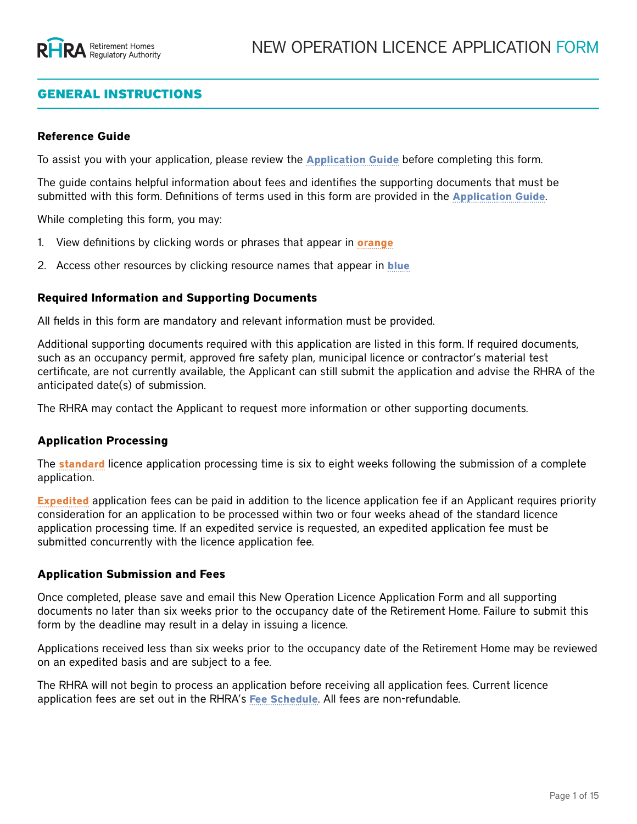# GENERAL INSTRUCTIONS

#### **Reference Guide**

To assist you with your application, please review the **[Application Guide](https://www.rhra.ca/en/applying-for-a-licence/how-to-apply-for-a-licence/)** before completing this form.

The guide contains helpful information about fees and identifies the supporting documents that must be submitted with this form. Definitions of terms used in this form are provided in the **[Application Guide](https://www.rhra.ca/en/applying-for-a-licence/how-to-apply-for-a-licence/)**.

While completing this form, you may:

- 1. View definitions by clicking words or phrases that appear in **orange**
- 2. Access other resources by clicking resource names that appear in **blue**

#### **Required Information and Supporting Documents**

All fields in this form are mandatory and relevant information must be provided.

Additional supporting documents required with this application are listed in this form. If required documents, such as an occupancy permit, approved fire safety plan, municipal licence or contractor's material test certificate, are not currently available, the Applicant can still submit the application and advise the RHRA of the anticipated date(s) of submission.

The RHRA may contact the Applicant to request more information or other supporting documents.

#### **Application Processing**

The **standard** licence application processing time is six to eight weeks following the submission of a complete application.

**Expedited** application fees can be paid in addition to the licence application fee if an Applicant requires priority consideration for an application to be processed within two or four weeks ahead of the standard licence application processing time. If an expedited service is requested, an expedited application fee must be submitted concurrently with the licence application fee.

#### **Application Submission and Fees**

Once completed, please save and email this New Operation Licence Application Form and all supporting documents no later than six weeks prior to the occupancy date of the Retirement Home. Failure to submit this form by the deadline may result in a delay in issuing a licence.

Applications received less than six weeks prior to the occupancy date of the Retirement Home may be reviewed on an expedited basis and are subject to a fee.

The RHRA will not begin to process an application before receiving all application fees. Current licence application fees are set out in the RHRA's **[Fee Schedule](https://www.rhra.ca/en/information-tools-and-resources/)**. All fees are non-refundable.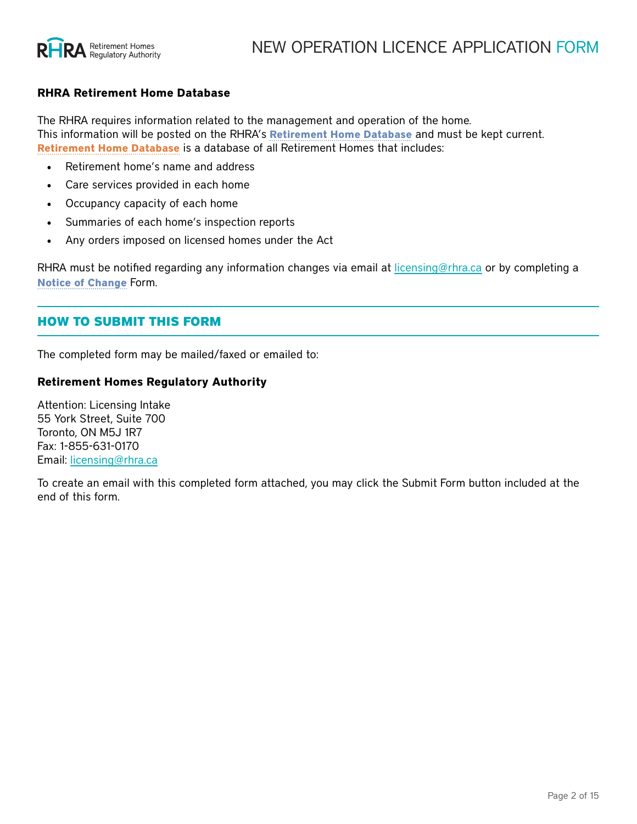

#### **RHRA Retirement Home Database**

The RHRA requires information related to the management and operation of the home. This information will be posted on the RHRA's **[Retirement Home Database](https://www.rhra.ca/en/retirement-home-database/)** and must be kept current. **Retirement Home Database** is a database of all Retirement Homes that includes:

- Retirement home's name and address
- Care services provided in each home
- Occupancy capacity of each home
- Summaries of each home's inspection reports
- Any orders imposed on licensed homes under the Act

RHRA must be notified regarding any information changes via email at [licensing@rhra.ca](mailto:licensing%40rhra.ca?subject=New%20Operation%20LIcence%20Application%20Form) or by completing a **[Notice of Change](https://www.rhra.ca/en/information-tools-and-resources/)** Form.

### HOW TO SUBMIT THIS FORM

The completed form may be mailed/faxed or emailed to:

#### **Retirement Homes Regulatory Authority**

Attention: Licensing Intake 55 York Street, Suite 700 Toronto, ON M5J 1R7 Fax: 1-855-631-0170 Email: [licensing@rhra.ca](mailto:licensing%40rhra.ca?subject=)

To create an email with this completed form attached, you may click the Submit Form button included at the end of this form.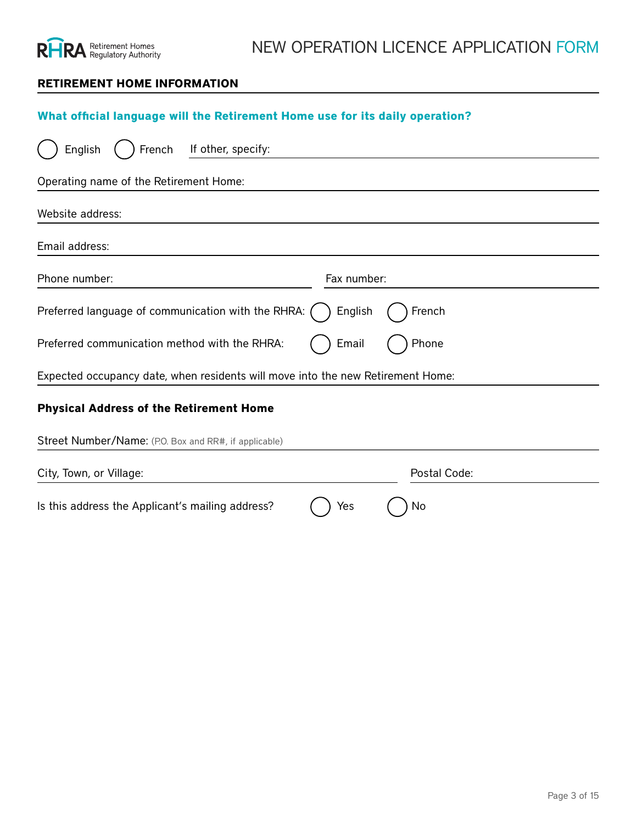

### **RETIREMENT HOME INFORMATION**

# **What official language will the Retirement Home use for its daily operation?**

| If other, specify:<br>English<br>French                                         |                   |
|---------------------------------------------------------------------------------|-------------------|
| Operating name of the Retirement Home:                                          |                   |
| Website address:                                                                |                   |
| Email address:                                                                  |                   |
| Phone number:                                                                   | Fax number:       |
| Preferred language of communication with the RHRA:                              | English<br>French |
| Preferred communication method with the RHRA:                                   | Phone<br>Email    |
| Expected occupancy date, when residents will move into the new Retirement Home: |                   |
| <b>Physical Address of the Retirement Home</b>                                  |                   |
| Street Number/Name: (P.O. Box and RR#, if applicable)                           |                   |
| City, Town, or Village:                                                         | Postal Code:      |
| Is this address the Applicant's mailing address?                                | Yes<br>No         |
| <b>Mailing Address of the Applicant</b>                                         |                   |
| Street Number/Name: (P.O. Box and RR#, if applicable)                           |                   |
| City, Town, or Village:                                                         |                   |
| Province:                                                                       | Postal Code:      |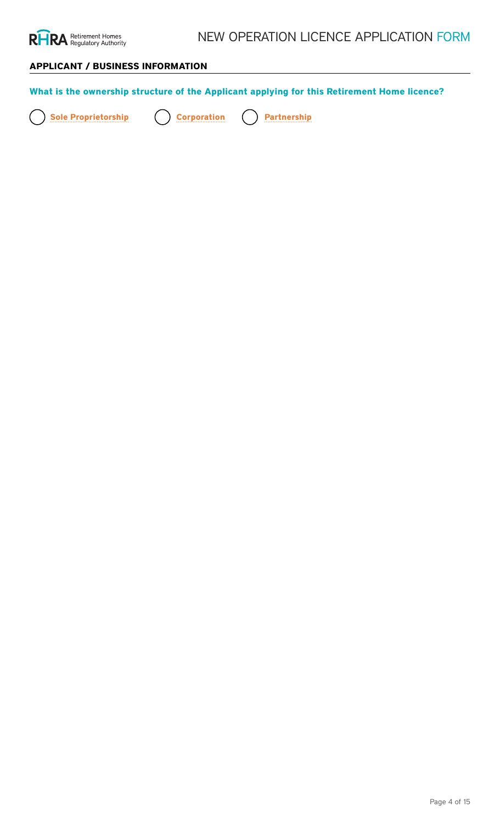

# **APPLICANT / BUSINESS INFORMATION**

| What is the ownership structure of the Applicant applying for this Retirement Home licence?                   |                                                                                                                                                                        |
|---------------------------------------------------------------------------------------------------------------|------------------------------------------------------------------------------------------------------------------------------------------------------------------------|
| <b>Sole Proprietorship</b><br><b>Corporation</b><br><b>Partnership</b>                                        |                                                                                                                                                                        |
| <b>Details of the Partnership</b><br>Ruthe Gal Comperatibusing the Owneres of Incorporation or Letters Patent |                                                                                                                                                                        |
| Partnership Name:<br>Cospolamon Number:                                                                       | Date of Middle Jnatialn:                                                                                                                                               |
| <b>Full legal name(s) of all Partners</b>                                                                     |                                                                                                                                                                        |
| <b>CaperAlangeName of Corporation:</b>                                                                        | <b>Preferred Salutation:</b>                                                                                                                                           |
| First Name:<br>Bursistreta Mattern of Opto Alton i et or ship a tarafy:                                       | Middle Initial:                                                                                                                                                        |
| Last Name:                                                                                                    | <b>Preferred Salutation:</b>                                                                                                                                           |
| <b>Federal</b><br>Corporate Name: (if applicable)<br><b>Other Province/Territory</b>                          | NOTE: For any corporation incorporated outside of Canada,<br>submit proof of authorization under the Extra-Provincial<br><b>Please, specify</b> : Optorio is required. |
| Outside Canada<br>Please specify:<br><b>If second Partner</b>                                                 |                                                                                                                                                                        |
| Fust legalename(s) of all Officers and Directors of the Corporatio                                            | Middle Initial:                                                                                                                                                        |
| East Name:                                                                                                    | Phielfelereral Scaltutation:                                                                                                                                           |
| CaspblatteeName: (if applicable)                                                                              | <b>Preferred Salutation:</b>                                                                                                                                           |
| If shirdrich Olifrager or Director                                                                            |                                                                                                                                                                        |
| <b>First Name:</b>                                                                                            | Middle Initial:                                                                                                                                                        |
| Last Name:                                                                                                    | <b>Preferred Salutation:</b>                                                                                                                                           |
| Eulblegial mame(s) objail person(s) who have a controlling interest in the Corporation.                       |                                                                                                                                                                        |
| NatmissadLinliteersantaersitipa controllings interest will toppear on the RHRA Retirement Home Database       |                                                                                                                                                                        |
| Fuit legaPname(s) of all person(s) who have a controlling interest Midtle Parthership.                        |                                                                                                                                                                        |
| An Depart of Person(s) with a controlling interest will appear on the RHRA Retiter and plate intabase         |                                                                                                                                                                        |
| <b>H<sub>I</sub>SEName person</b>                                                                             | Middle Initial:                                                                                                                                                        |
| East Name:                                                                                                    | Midreler draits direction:                                                                                                                                             |
| corporation (if applicable)                                                                                   | <b>Preferred Salutation:</b>                                                                                                                                           |
| If second person                                                                                              |                                                                                                                                                                        |
| First Name:                                                                                                   | Middle Initial:                                                                                                                                                        |
| Last Name:                                                                                                    | <b>Preferred Salutation:</b>                                                                                                                                           |
| Corporate Name: (if applicable)                                                                               |                                                                                                                                                                        |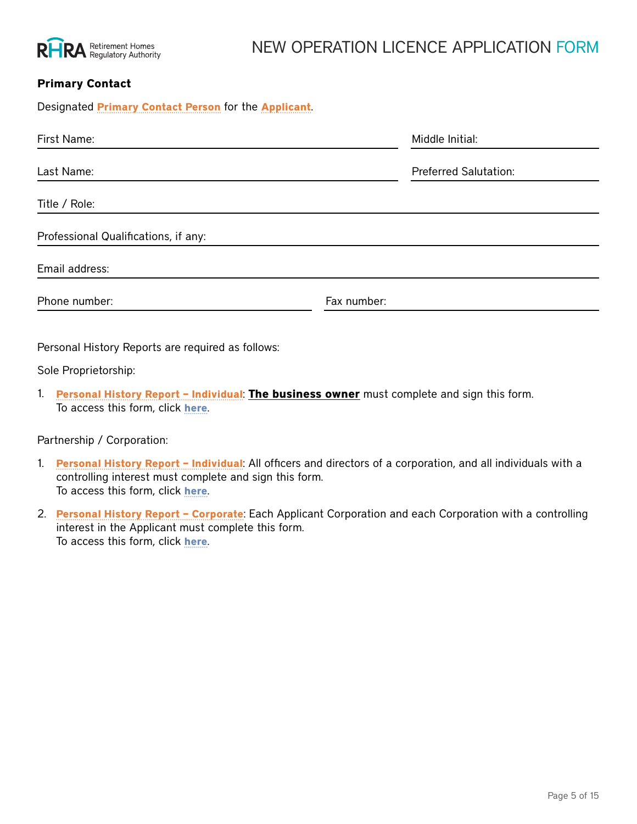

# NEW OPERATION LICENCE APPLICATION FORM

### **Primary Contact**

| First Name:                          | Middle Initial:              |
|--------------------------------------|------------------------------|
| Last Name:                           | <b>Preferred Salutation:</b> |
| Title / Role:                        |                              |
| Professional Qualifications, if any: |                              |
| Email address:                       |                              |
| Phone number:                        | Fax number:                  |
|                                      |                              |

Personal History Reports are required as follows:

Designated **Primary Contact Person** for the **Applicant**.

Sole Proprietorship:

1. **Personal History Report – Individual**: **The business owner** must complete and sign this form. To access this form, click **[here](https://www.rhra.ca/en/applying-for-a-licence/how-to-apply-for-a-licence/)**.

Partnership / Corporation:

- 1. **Personal History Report Individual**: All officers and directors of a corporation, and all individuals with a controlling interest must complete and sign this form. To access this form, click **[here](https://www.rhra.ca/en/applying-for-a-licence/how-to-apply-for-a-licence/)**.
- 2. **Personal History Report Corporate**: Each Applicant Corporation and each Corporation with a controlling interest in the Applicant must complete this form. To access this form, click **[here](https://www.rhra.ca/en/applying-for-a-licence/how-to-apply-for-a-licence/)**.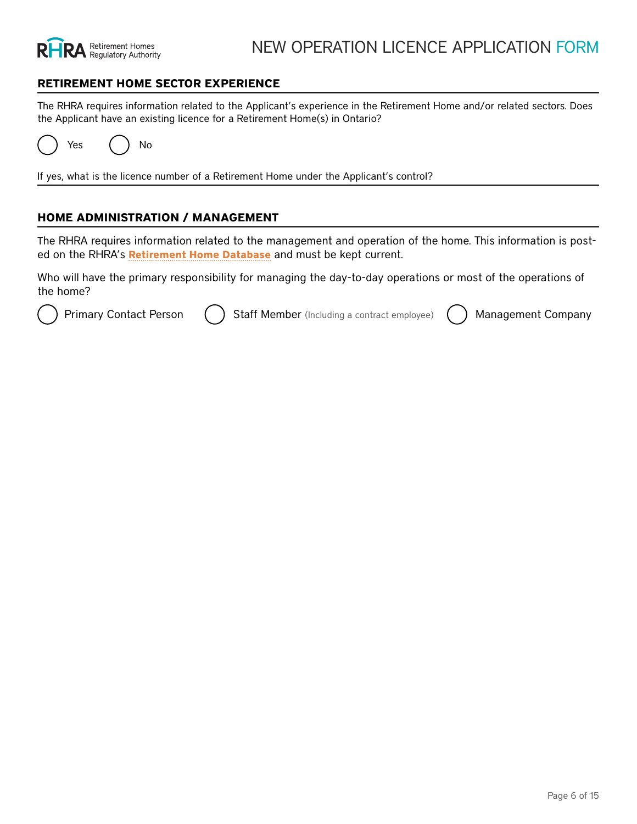

#### **RETIREMENT HOME SECTOR EXPERIENCE**

The RHRA requires information related to the Applicant's experience in the Retirement Home and/or related sectors. Does the Applicant have an existing licence for a Retirement Home(s) in Ontario?

Yes ( ) No

If yes, what is the licence number of a Retirement Home under the Applicant's control?

#### **HOME ADMINISTRATION / MANAGEMENT**

The RHRA requires information related to the management and operation of the home. This information is posted on the RHRA's **Retirement Home Database** and must be kept current.

Who will have the primary responsibility for managing the day-to-day operations or most of the operations of the home?

Primary Contact Person ( ) Staff Member (Including a contract employee) ( ) Management Company

#### *Stanfely te Count Out to pravay i britor mation*

| Borstgreasteaff <mark>PriemberOwhoawtlPbesres</mark> pfonstlideAfpplinannaging the operations or most of the operations of the<br>Management Company's Legal Business Name:                                                                    |                                                                                                         |
|------------------------------------------------------------------------------------------------------------------------------------------------------------------------------------------------------------------------------------------------|---------------------------------------------------------------------------------------------------------|
| First Name:<br><b>Piperating Name:</b> (if different than above)                                                                                                                                                                               | Middle Initial:<br>Middle Initial:                                                                      |
| Last Name:<br><del>Dags Namagement Company manage an existing li</del> cemsed Retirement Home?                                                                                                                                                 | <b>Preferred Salutation:</b>                                                                            |
| :Rith / Agole:<br>No.<br><b>THE</b> / Role:                                                                                                                                                                                                    |                                                                                                         |
| Mateageme Qualomplany, Contact                                                                                                                                                                                                                 |                                                                                                         |
| Professional Qualifications, if any:<br>Contact Information (for the person at the Management Company, who will be responsible for managing the<br><del>bිවිටි lite bes</del> filled for the <u>operations of the home</u> )<br>Email address: |                                                                                                         |
| Phone ampioer:                                                                                                                                                                                                                                 | <b>FAYAUHTHEL:</b>                                                                                      |
| Phone number:                                                                                                                                                                                                                                  | <del>Fax number:</del>                                                                                  |
| Last Name:<br>Personal History Reports are required as follows:                                                                                                                                                                                | <b>Preferred Salutation:</b>                                                                            |
| Title <i>E</i> oleal History Report – Individual: All officers and directors of a corporation, and all individuals with a                                                                                                                      |                                                                                                         |
| controlling interest must complete and sign this form.<br>Profes สิธิกัล จับปลูก ที่อิสทิวก์ยุ่ Christe.                                                                                                                                       |                                                                                                         |
| 2.<br>Emailtedestess: the Applicant must complete this form.                                                                                                                                                                                   | Personal History Report - Corporate: Each Applicant Corporation and each Corporation with a controlling |
| To access this form, click here.                                                                                                                                                                                                               |                                                                                                         |
| Phone number:                                                                                                                                                                                                                                  | Fax number:                                                                                             |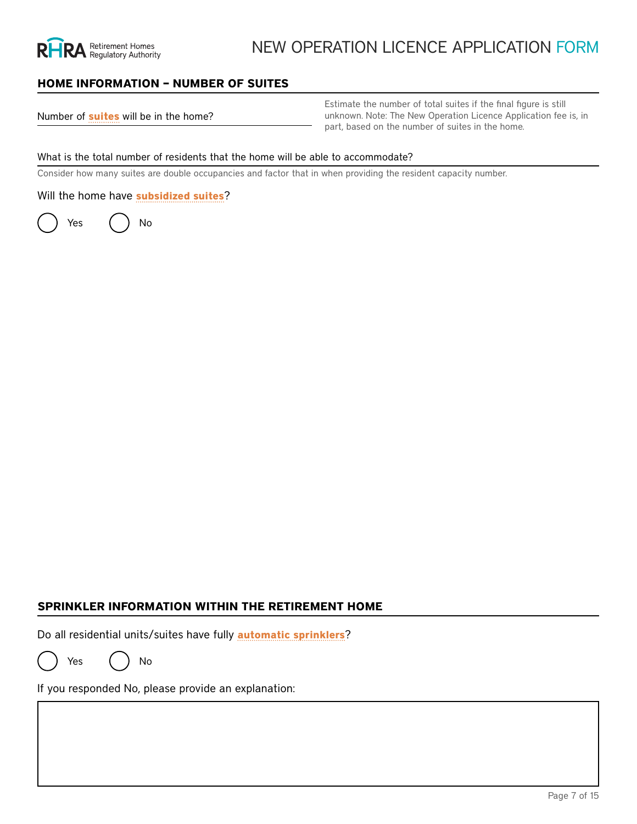

### **HOME INFORMATION – NUMBER OF SUITES**

Number of **suites** will be in the home?

Estimate the number of total suites if the final figure is still unknown. Note: The New Operation Licence Application fee is, in part, based on the number of suites in the home.

#### What is the total number of residents that the home will be able to accommodate?

Consider how many suites are double occupancies and factor that in when providing the resident capacity number.

Will the home have **subsidized suites**?

Yes ( ) No

Number of subsidized suites:

the New Operation Licence Application fee.

Select the Act the home will be governed by or funded under:

Note: Subsidized suites:<br>
The Act the home will be governed by or funded under:<br>
The Developmental Services Act<br>
The Developmental Services Act<br>
The Homes for Special Care Act<br>
The Long-Term Care Homes Act, 2007<br>
The Minis The Developmental Services Act The Homes for Special Care Act The Long-Term Care Homes Act, 2007 CCC The Ministry of Community and Social Services Act The Private Hospitals Act The Public Hospitals Act  $\overline{\bigcirc}$ The Services and Supports to Promote the Social Inclusion of Persons with Developmental Disabilities Act, 2008 The Ontario Works Act The Home Care and Community Services Act, 1994 The Local Health System Integration Act, 2006

### **SPRINKLER INFORMATION WITHIN THE RETIREMENT HOME**

Do all residential units/suites have fully **automatic sprinklers**?

Yes ( ) No

If you responded No, please provide an explanation: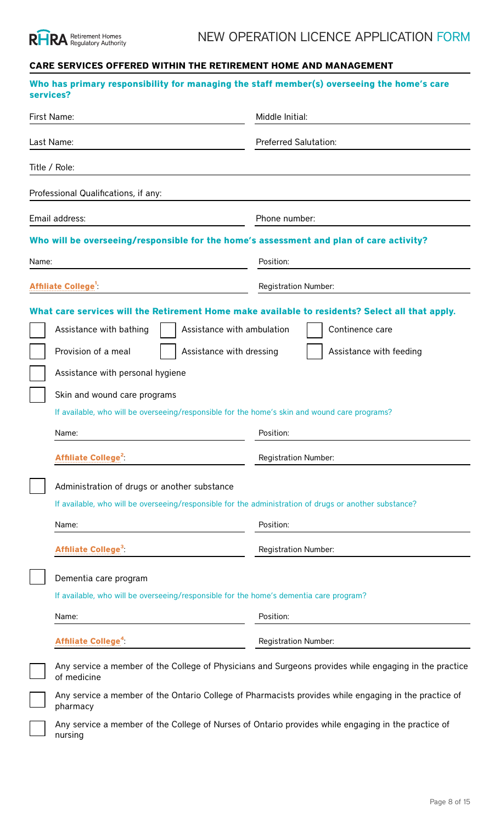

# **CARE SERVICES OFFERED WITHIN THE RETIREMENT HOME AND MANAGEMENT**

|       | services?                                                                                                                                                                                                                                                                     | Who has primary responsibility for managing the staff member(s) overseeing the home's care                                                    |  |  |
|-------|-------------------------------------------------------------------------------------------------------------------------------------------------------------------------------------------------------------------------------------------------------------------------------|-----------------------------------------------------------------------------------------------------------------------------------------------|--|--|
|       | First Name:                                                                                                                                                                                                                                                                   | Middle Initial:                                                                                                                               |  |  |
|       | Last Name:                                                                                                                                                                                                                                                                    | <b>Preferred Salutation:</b>                                                                                                                  |  |  |
|       | Title / Role:                                                                                                                                                                                                                                                                 |                                                                                                                                               |  |  |
|       | Professional Qualifications, if any:                                                                                                                                                                                                                                          |                                                                                                                                               |  |  |
|       | Email address:                                                                                                                                                                                                                                                                | Phone number:                                                                                                                                 |  |  |
|       | Who will be overseeing/responsible for the home's assessment and plan of care activity?                                                                                                                                                                                       |                                                                                                                                               |  |  |
| Name: |                                                                                                                                                                                                                                                                               | Position:                                                                                                                                     |  |  |
|       | <b>Affiliate College<sup>1</sup></b>                                                                                                                                                                                                                                          | <b>Registration Number:</b>                                                                                                                   |  |  |
|       | Assistance with ambulation<br>Assistance with bathing<br>Provision of a meal<br>Assistance with dressing<br>Assistance with personal hygiene<br>Skin and wound care programs<br>If available, who will be overseeing/responsible for the home's skin and wound care programs? | What care services will the Retirement Home make available to residents? Select all that apply.<br>Continence care<br>Assistance with feeding |  |  |
|       | Name:                                                                                                                                                                                                                                                                         | Position:                                                                                                                                     |  |  |
|       | <b>Affiliate College<sup>2</sup></b>                                                                                                                                                                                                                                          | <b>Registration Number:</b>                                                                                                                   |  |  |
|       | Administration of drugs or another substance<br>If available, who will be overseeing/responsible for the administration of drugs or another substance?<br>Name:                                                                                                               | Position:                                                                                                                                     |  |  |
|       | <b>Affiliate College<sup>3</sup></b>                                                                                                                                                                                                                                          | <b>Registration Number:</b>                                                                                                                   |  |  |
|       | Dementia care program<br>If available, who will be overseeing/responsible for the home's dementia care program?<br>Name:                                                                                                                                                      | Position:                                                                                                                                     |  |  |
|       | Affiliate College <sup>4</sup> :                                                                                                                                                                                                                                              | <b>Registration Number:</b>                                                                                                                   |  |  |
|       | of medicine                                                                                                                                                                                                                                                                   | Any service a member of the College of Physicians and Surgeons provides while engaging in the practice                                        |  |  |
|       | pharmacy                                                                                                                                                                                                                                                                      | Any service a member of the Ontario College of Pharmacists provides while engaging in the practice of                                         |  |  |
|       | nursing                                                                                                                                                                                                                                                                       | Any service a member of the College of Nurses of Ontario provides while engaging in the practice of                                           |  |  |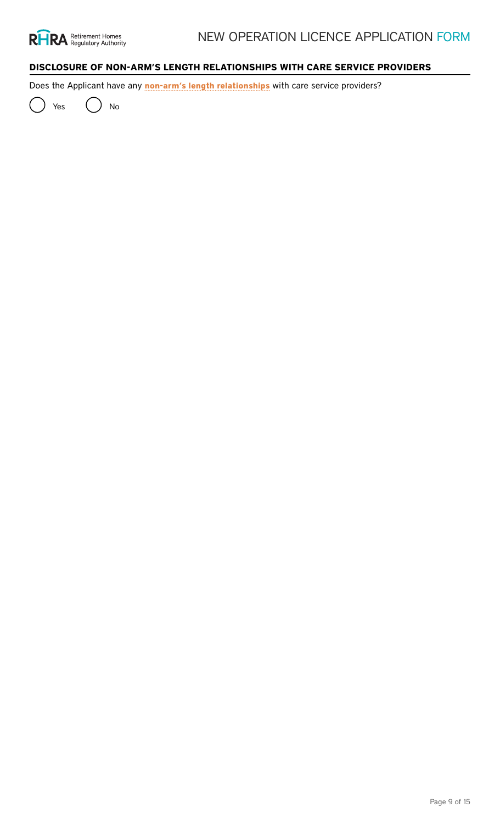

# **DISCLOSURE OF NON-ARM'S LENGTH RELATIONSHIPS WITH CARE SERVICE PROVIDERS**

Does the Applicant have any **non-arm's length relationships** with care service providers?

Yes ( ) No

### **What non-arm's length relationships apply or will apply to the Applicant? Provide information for all that apply**

Spousal or family relationships (spouse, parent, sibling, child or another relative sharing the residence of the Applicant)

Name of Spousal or Family care service provider:

Care services provided / intended to be provided:

Relationship to Applicant:

If second care service provider

Name of care service provider:

Care services provided / intended to be provided:

Relationship to Applicant:

Corporate relationships (the person is a partner, director or officer of the Applicant)

Name of Corporate Relationship care service provider:

Care services provided / intended to be provided:

Relationship to Applicant:

If second care service provider

Name of care service provider:

Care services provided / intended to be provided:

Relationship to Applicant:

Relationships of corporate control (the person is a parent/controlling/controlled corporation of the Applicant)

Name of Relationship of Corporate Control care service provider:

Care services provided / intended to be provided:

Relationship to Applicant:

If second care service provider

Name of care service provider:

Care services provided / intended to be provided:

Relationship to Applicant: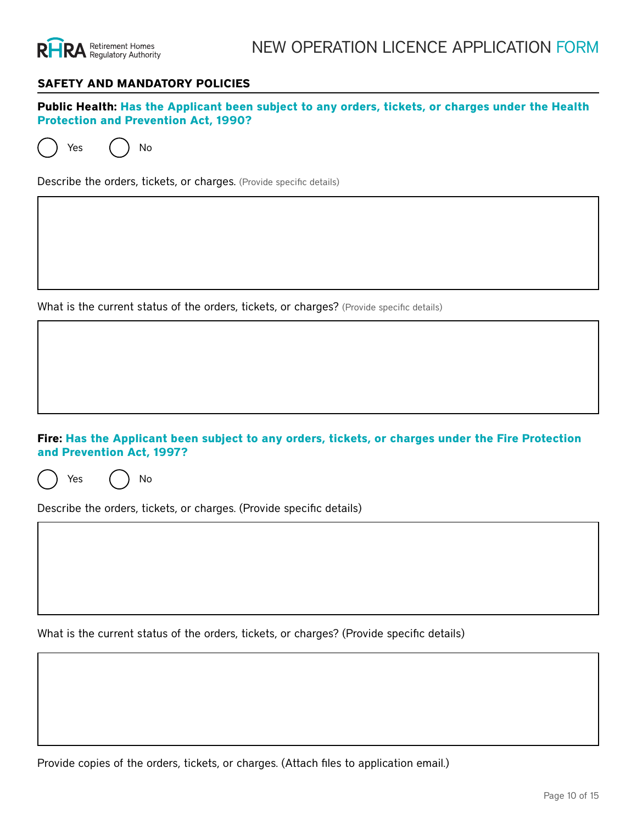

#### **SAFETY AND MANDATORY POLICIES**

**Public Health: Has the Applicant been subject to any orders, tickets, or charges under the Health Protection and Prevention Act, 1990?**

Yes ( ) No

Describe the orders, tickets, or charges. (Provide specific details)

What is the current status of the orders, tickets, or charges? (Provide specific details)

**Fire: Has the Applicant been subject to any orders, tickets, or charges under the Fire Protection and Prevention Act, 1997?**

Yes ( ) No

Describe the orders, tickets, or charges. (Provide specific details)

What is the current status of the orders, tickets, or charges? (Provide specific details)

Provide copies of the orders, tickets, or charges. (Attach files to application email.)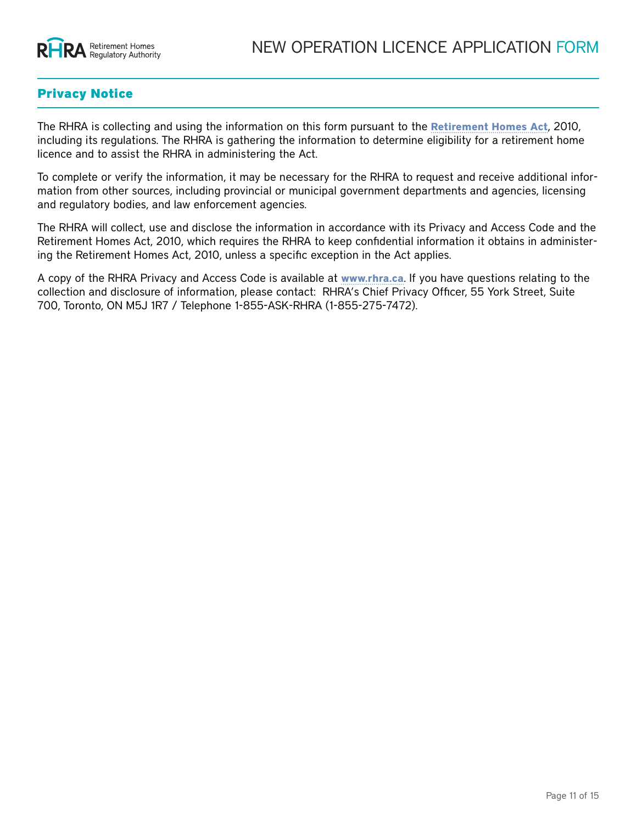

## Privacy Notice

The RHRA is collecting and using the information on this form pursuant to the **[Retirement Homes Act](https://www.ontario.ca/laws/statute/10r11)**, 2010, including its regulations. The RHRA is gathering the information to determine eligibility for a retirement home licence and to assist the RHRA in administering the Act.

To complete or verify the information, it may be necessary for the RHRA to request and receive additional information from other sources, including provincial or municipal government departments and agencies, licensing and regulatory bodies, and law enforcement agencies.

The RHRA will collect, use and disclose the information in accordance with its Privacy and Access Code and the Retirement Homes Act, 2010, which requires the RHRA to keep confidential information it obtains in administering the Retirement Homes Act, 2010, unless a specific exception in the Act applies.

A copy of the RHRA Privacy and Access Code is available at **[www.rhra.ca](http://www.rhra.ca)**. If you have questions relating to the collection and disclosure of information, please contact: RHRA's Chief Privacy Officer, 55 York Street, Suite 700, Toronto, ON M5J 1R7 / Telephone 1-855-ASK-RHRA (1-855-275-7472).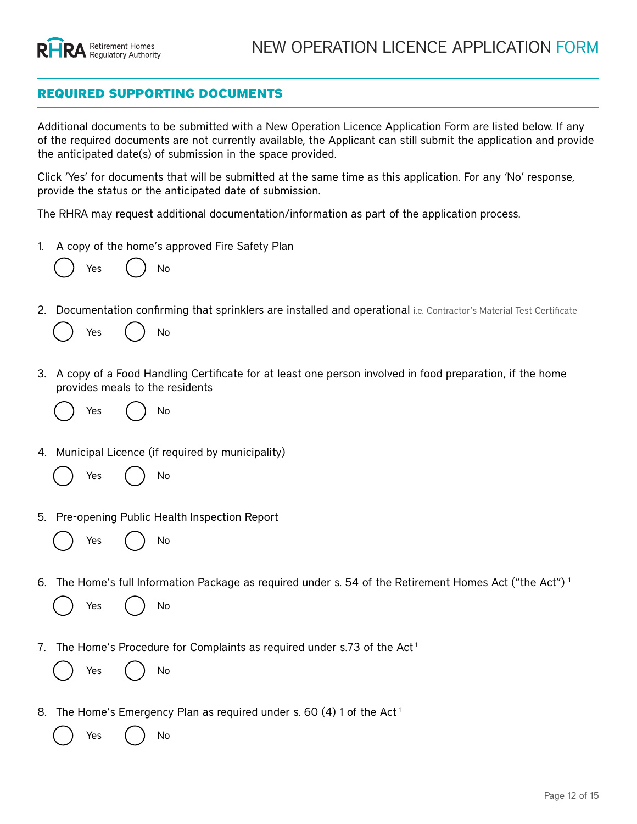

### REQUIRED SUPPORTING DOCUMENTS

Additional documents to be submitted with a New Operation Licence Application Form are listed below. If any of the required documents are not currently available, the Applicant can still submit the application and provide the anticipated date(s) of submission in the space provided.

Click 'Yes' for documents that will be submitted at the same time as this application. For any 'No' response, provide the status or the anticipated date of submission.

The RHRA may request additional documentation/information as part of the application process.

1. A copy of the home's approved Fire Safety Plan

Yes ( ) No

If proof of approved plan is not available, submit the draft fire safety plan and proof of submission from the local fire dept.

2. Documentation confirming that sprinklers are installed and operational i.e. Contractor's Material Test Certificate

Yes ( ) No Status/Anticipated Date of Submission:

3. A copy of a Food Handling Certificate for at least one person involved in food preparation, if the home provides meals to the residents

Yes  $($   $)$  No

Status/Anticipated Date of Submission:

- 4. Municipal Licence (if required by municipality)
	- Yes ( ) No Status/Anticipated Date of Submission:
- 5. Pre-opening Public Health Inspection Report

Yes ( ) No Status/Anticipated Date of Submission:

6. The Home's full Information Package as required under s. 54 of the Retirement Homes Act ("the Act") 1

Yes ( ) No Status/Anticipated Date of Submission:

7. The Home's Procedure for Complaints as required under s.73 of the Act<sup>1</sup>

- Yes ( ) No Status/Anticipated Date of Submission:
- 8. The Home's Emergency Plan as required under s. 60 (4) 1 of the Act<sup>1</sup>

Yes ( ) No Status/Anticipated Date of Submission: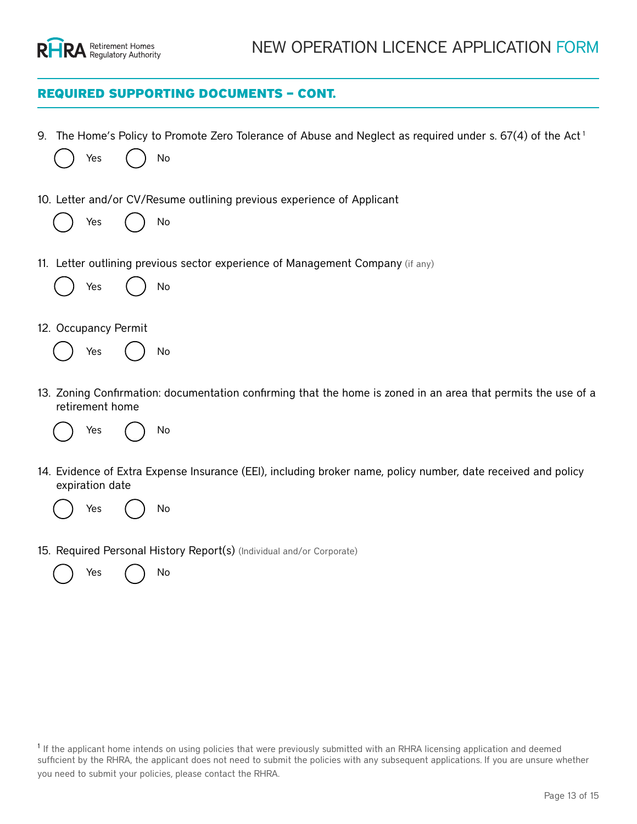

### REQUIRED SUPPORTING DOCUMENTS – CONT.

|                                                                                                                                                                                                                                                                                                                                                                    |                                                                        |                      |  |    | 9. The Home's Policy to Promote Zero Tolerance of Abuse and Neglect as required under s. $67(4)$ of the Act <sup>1</sup> |
|--------------------------------------------------------------------------------------------------------------------------------------------------------------------------------------------------------------------------------------------------------------------------------------------------------------------------------------------------------------------|------------------------------------------------------------------------|----------------------|--|----|--------------------------------------------------------------------------------------------------------------------------|
|                                                                                                                                                                                                                                                                                                                                                                    |                                                                        | Yes                  |  | No | <b>Status/Anticipated Date of Submission:</b>                                                                            |
|                                                                                                                                                                                                                                                                                                                                                                    | 10. Letter and/or CV/Resume outlining previous experience of Applicant |                      |  |    |                                                                                                                          |
|                                                                                                                                                                                                                                                                                                                                                                    |                                                                        | Yes                  |  | No | <b>Status/Anticipated Date of Submission:</b>                                                                            |
|                                                                                                                                                                                                                                                                                                                                                                    |                                                                        |                      |  |    | 11. Letter outlining previous sector experience of Management Company (if any)                                           |
|                                                                                                                                                                                                                                                                                                                                                                    |                                                                        | Yes                  |  | No | <b>Status/Anticipated Date of Submission:</b>                                                                            |
|                                                                                                                                                                                                                                                                                                                                                                    |                                                                        | 12. Occupancy Permit |  |    |                                                                                                                          |
|                                                                                                                                                                                                                                                                                                                                                                    |                                                                        | Yes                  |  | No | <b>Status/Anticipated Date of Submission:</b>                                                                            |
|                                                                                                                                                                                                                                                                                                                                                                    |                                                                        | retirement home      |  |    | 13. Zoning Confirmation: documentation confirming that the home is zoned in an area that permits the use of a            |
|                                                                                                                                                                                                                                                                                                                                                                    |                                                                        | Yes                  |  | No | <b>Status/Anticipated Date of Submission:</b>                                                                            |
|                                                                                                                                                                                                                                                                                                                                                                    |                                                                        | expiration date      |  |    | 14. Evidence of Extra Expense Insurance (EEI), including broker name, policy number, date received and policy            |
|                                                                                                                                                                                                                                                                                                                                                                    |                                                                        | Yes                  |  | No | <b>Status/Anticipated Date of Submission:</b>                                                                            |
|                                                                                                                                                                                                                                                                                                                                                                    |                                                                        |                      |  |    |                                                                                                                          |
|                                                                                                                                                                                                                                                                                                                                                                    |                                                                        |                      |  |    | 15. Required Personal History Report(s) (Individual and/or Corporate)                                                    |
|                                                                                                                                                                                                                                                                                                                                                                    |                                                                        | Yes                  |  | No | <b>Status/Anticipated Date of Submission:</b>                                                                            |
|                                                                                                                                                                                                                                                                                                                                                                    |                                                                        |                      |  |    |                                                                                                                          |
|                                                                                                                                                                                                                                                                                                                                                                    |                                                                        |                      |  |    |                                                                                                                          |
|                                                                                                                                                                                                                                                                                                                                                                    |                                                                        |                      |  |    |                                                                                                                          |
|                                                                                                                                                                                                                                                                                                                                                                    |                                                                        |                      |  |    |                                                                                                                          |
|                                                                                                                                                                                                                                                                                                                                                                    |                                                                        |                      |  |    |                                                                                                                          |
| <sup>1</sup> If the applicant home intends on using policies that were previously submitted with an RHRA licensing application and deemed<br>sufficient by the RHRA, the applicant does not need to submit the policies with any subsequent applications. If you are unsure whether<br>you need to submit your policies, please contact the RHRA.<br>Page 13 of 15 |                                                                        |                      |  |    |                                                                                                                          |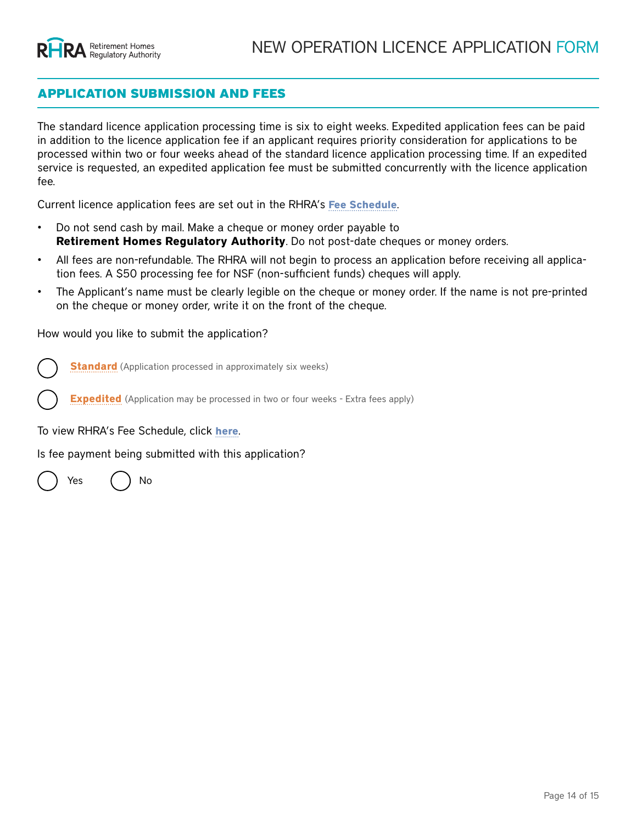### APPLICATION SUBMISSION AND FEES

The standard licence application processing time is six to eight weeks. Expedited application fees can be paid in addition to the licence application fee if an applicant requires priority consideration for applications to be processed within two or four weeks ahead of the standard licence application processing time. If an expedited service is requested, an expedited application fee must be submitted concurrently with the licence application fee.

Current licence application fees are set out in the RHRA's **[Fee Schedule](https://www.rhra.ca/en/information-tools-and-resources/)**.

- Do not send cash by mail. Make a cheque or money order payable to **Retirement Homes Regulatory Authority**. Do not post-date cheques or money orders.
- All fees are non-refundable. The RHRA will not begin to process an application before receiving all application fees. A \$50 processing fee for NSF (non-sufficient funds) cheques will apply.
- The Applicant's name must be clearly legible on the cheque or money order. If the name is not pre-printed on the cheque or money order, write it on the front of the cheque.

How would you like to submit the application?

**Standard** (Application processed in approximately six weeks)

**Expedited** (Application may be processed in two or four weeks - Extra fees apply)

To view RHRA's Fee Schedule, click **[here](https://www.rhra.ca/en/information-tools-and-resources/)**.

Is fee payment being submitted with this application?

Yes ( ) No

If yes, what is the method of payment?

Cheque

Pre-authorized debit

e-transfer

If yes, what is the amount of payment being submitted?